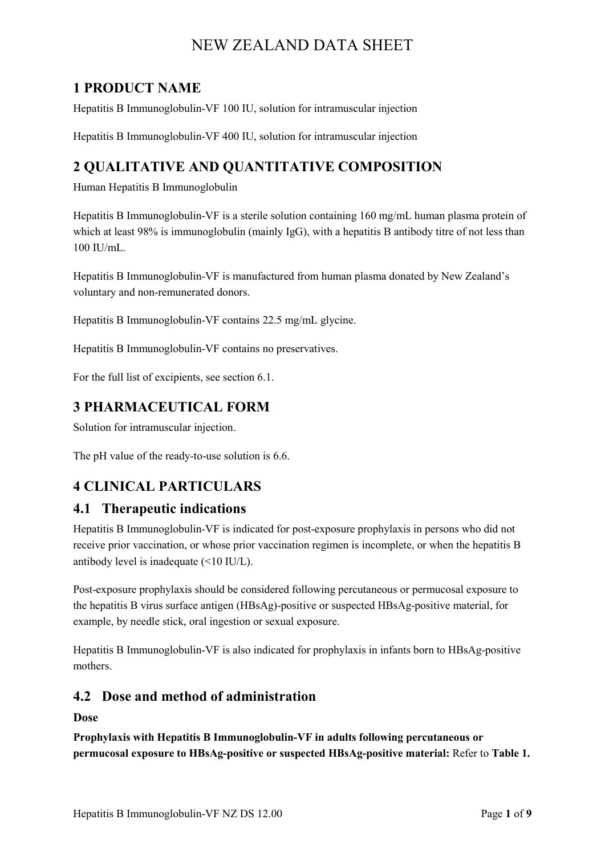# **1 PRODUCT NAME**

Hepatitis B Immunoglobulin-VF 100 IU, solution for intramuscular injection

Hepatitis B Immunoglobulin-VF 400 IU, solution for intramuscular injection

# **2 QUALITATIVE AND QUANTITATIVE COMPOSITION**

Human Hepatitis B Immunoglobulin

Hepatitis B Immunoglobulin-VF is a sterile solution containing 160 mg/mL human plasma protein of which at least 98% is immunoglobulin (mainly IgG), with a hepatitis B antibody titre of not less than 100 IU/mL.

Hepatitis B Immunoglobulin-VF is manufactured from human plasma donated by New Zealand's voluntary and non-remunerated donors.

Hepatitis B Immunoglobulin-VF contains 22.5 mg/mL glycine.

Hepatitis B Immunoglobulin-VF contains no preservatives.

For the full list of excipients, see section 6.1.

# **3 PHARMACEUTICAL FORM**

Solution for intramuscular injection.

The pH value of the ready-to-use solution is 6.6.

# **4 CLINICAL PARTICULARS**

## **4.1 Therapeutic indications**

Hepatitis B Immunoglobulin-VF is indicated for post-exposure prophylaxis in persons who did not receive prior vaccination, or whose prior vaccination regimen is incomplete, or when the hepatitis B antibody level is inadequate (<10 IU/L).

Post-exposure prophylaxis should be considered following percutaneous or permucosal exposure to the hepatitis B virus surface antigen (HBsAg)-positive or suspected HBsAg-positive material, for example, by needle stick, oral ingestion or sexual exposure.

Hepatitis B Immunoglobulin-VF is also indicated for prophylaxis in infants born to HBsAg-positive mothers.

## **4.2 Dose and method of administration**

**Dose**

**Prophylaxis with Hepatitis B Immunoglobulin-VF in adults following percutaneous or permucosal exposure to HBsAg-positive or suspected HBsAg-positive material:** Refer to **Table 1.**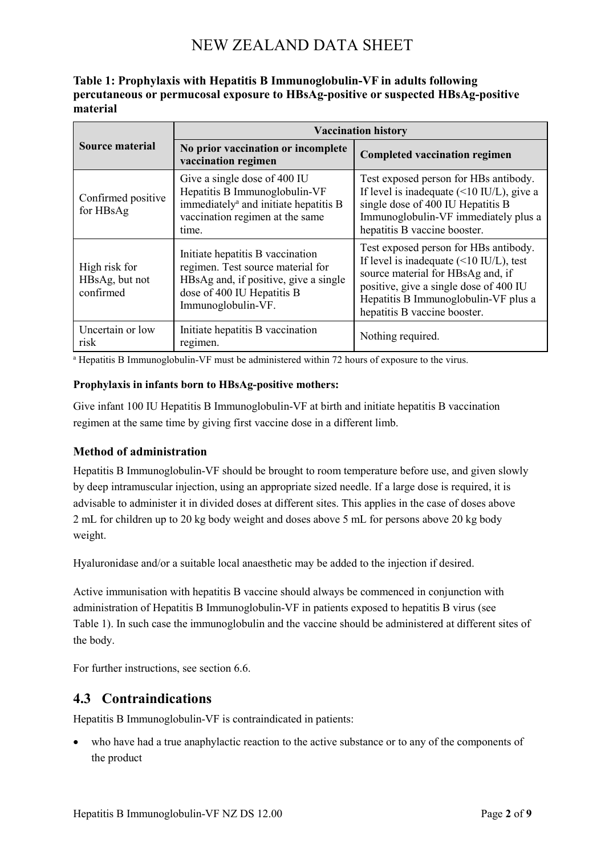| Table 1: Prophylaxis with Hepatitis B Immunoglobulin-VF in adults following       |
|-----------------------------------------------------------------------------------|
| percutaneous or permucosal exposure to HBsAg-positive or suspected HBsAg-positive |
| material                                                                          |

|                                              | <b>Vaccination history</b>                                                                                                                                         |                                                                                                                                                                                                                                                        |
|----------------------------------------------|--------------------------------------------------------------------------------------------------------------------------------------------------------------------|--------------------------------------------------------------------------------------------------------------------------------------------------------------------------------------------------------------------------------------------------------|
| <b>Source material</b>                       | No prior vaccination or incomplete<br>vaccination regimen                                                                                                          | <b>Completed vaccination regimen</b>                                                                                                                                                                                                                   |
| Confirmed positive<br>for HBsAg              | Give a single dose of 400 IU<br>Hepatitis B Immunoglobulin-VF<br>immediately <sup>a</sup> and initiate hepatitis B<br>vaccination regimen at the same<br>time.     | Test exposed person for HBs antibody.<br>If level is inadequate $($ < 10 IU/L), give a<br>single dose of 400 IU Hepatitis B<br>Immunoglobulin-VF immediately plus a<br>hepatitis B vaccine booster.                                                    |
| High risk for<br>HBsAg, but not<br>confirmed | Initiate hepatitis B vaccination<br>regimen. Test source material for<br>HBsAg and, if positive, give a single<br>dose of 400 IU Hepatitis B<br>Immunoglobulin-VF. | Test exposed person for HBs antibody.<br>If level is inadequate $(\leq 10 \text{ IU/L})$ , test<br>source material for HBsAg and, if<br>positive, give a single dose of 400 IU<br>Hepatitis B Immunoglobulin-VF plus a<br>hepatitis B vaccine booster. |
| Uncertain or low<br>risk                     | Initiate hepatitis B vaccination<br>regimen.                                                                                                                       | Nothing required.                                                                                                                                                                                                                                      |

<sup>a</sup> Hepatitis B Immunoglobulin-VF must be administered within 72 hours of exposure to the virus.

#### **Prophylaxis in infants born to HBsAg-positive mothers:**

Give infant 100 IU Hepatitis B Immunoglobulin-VF at birth and initiate hepatitis B vaccination regimen at the same time by giving first vaccine dose in a different limb.

#### **Method of administration**

Hepatitis B Immunoglobulin-VF should be brought to room temperature before use, and given slowly by deep intramuscular injection, using an appropriate sized needle. If a large dose is required, it is advisable to administer it in divided doses at different sites. This applies in the case of doses above 2 mL for children up to 20 kg body weight and doses above 5 mL for persons above 20 kg body weight.

Hyaluronidase and/or a suitable local anaesthetic may be added to the injection if desired.

Active immunisation with hepatitis B vaccine should always be commenced in conjunction with administration of Hepatitis B Immunoglobulin-VF in patients exposed to hepatitis B virus (see Table 1). In such case the immunoglobulin and the vaccine should be administered at different sites of the body.

For further instructions, see section 6.6.

### **4.3 Contraindications**

Hepatitis B Immunoglobulin-VF is contraindicated in patients:

• who have had a true anaphylactic reaction to the active substance or to any of the components of the product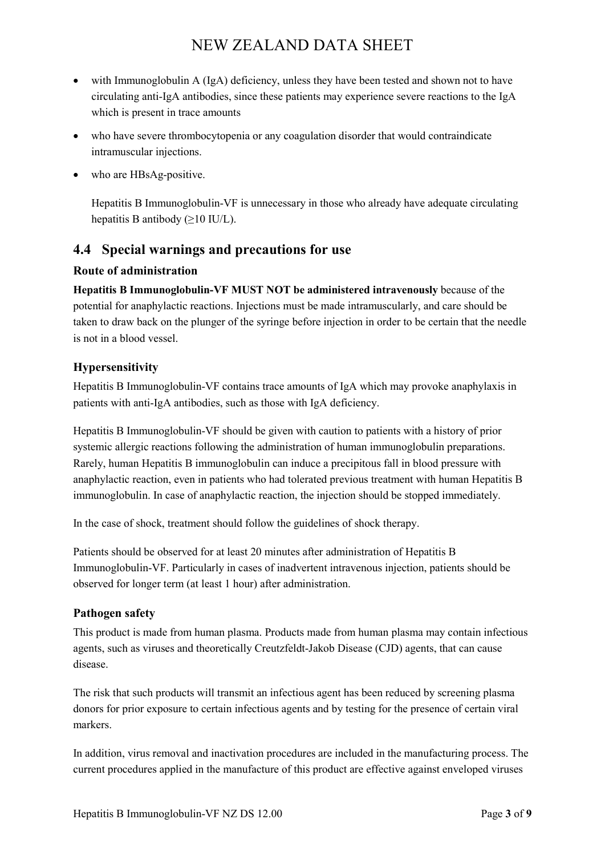- with Immunoglobulin A (IgA) deficiency, unless they have been tested and shown not to have circulating anti-IgA antibodies, since these patients may experience severe reactions to the IgA which is present in trace amounts
- who have severe thrombocytopenia or any coagulation disorder that would contraindicate intramuscular injections.
- who are HBsAg-positive.

Hepatitis B Immunoglobulin-VF is unnecessary in those who already have adequate circulating hepatitis B antibody (≥10 IU/L).

## **4.4 Special warnings and precautions for use**

#### **Route of administration**

**Hepatitis B Immunoglobulin-VF MUST NOT be administered intravenously** because of the potential for anaphylactic reactions. Injections must be made intramuscularly, and care should be taken to draw back on the plunger of the syringe before injection in order to be certain that the needle is not in a blood vessel.

### **Hypersensitivity**

Hepatitis B Immunoglobulin-VF contains trace amounts of IgA which may provoke anaphylaxis in patients with anti-IgA antibodies, such as those with IgA deficiency.

Hepatitis B Immunoglobulin-VF should be given with caution to patients with a history of prior systemic allergic reactions following the administration of human immunoglobulin preparations. Rarely, human Hepatitis B immunoglobulin can induce a precipitous fall in blood pressure with anaphylactic reaction, even in patients who had tolerated previous treatment with human Hepatitis B immunoglobulin. In case of anaphylactic reaction, the injection should be stopped immediately.

In the case of shock, treatment should follow the guidelines of shock therapy.

Patients should be observed for at least 20 minutes after administration of Hepatitis B Immunoglobulin-VF. Particularly in cases of inadvertent intravenous injection, patients should be observed for longer term (at least 1 hour) after administration.

### **Pathogen safety**

This product is made from human plasma. Products made from human plasma may contain infectious agents, such as viruses and theoretically Creutzfeldt-Jakob Disease (CJD) agents, that can cause disease.

The risk that such products will transmit an infectious agent has been reduced by screening plasma donors for prior exposure to certain infectious agents and by testing for the presence of certain viral markers.

In addition, virus removal and inactivation procedures are included in the manufacturing process. The current procedures applied in the manufacture of this product are effective against enveloped viruses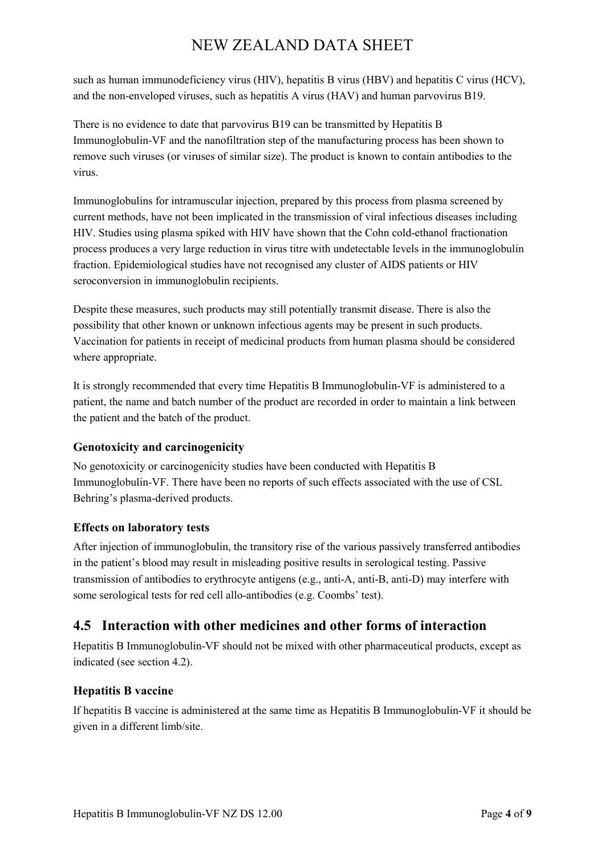such as human immunodeficiency virus (HIV), hepatitis B virus (HBV) and hepatitis C virus (HCV), and the non-enveloped viruses, such as hepatitis A virus (HAV) and human parvovirus B19.

There is no evidence to date that parvovirus B19 can be transmitted by Hepatitis B Immunoglobulin-VF and the nanofiltration step of the manufacturing process has been shown to remove such viruses (or viruses of similar size). The product is known to contain antibodies to the virus.

Immunoglobulins for intramuscular injection, prepared by this process from plasma screened by current methods, have not been implicated in the transmission of viral infectious diseases including HIV. Studies using plasma spiked with HIV have shown that the Cohn cold-ethanol fractionation process produces a very large reduction in virus titre with undetectable levels in the immunoglobulin fraction. Epidemiological studies have not recognised any cluster of AIDS patients or HIV seroconversion in immunoglobulin recipients.

Despite these measures, such products may still potentially transmit disease. There is also the possibility that other known or unknown infectious agents may be present in such products. Vaccination for patients in receipt of medicinal products from human plasma should be considered where appropriate.

It is strongly recommended that every time Hepatitis B Immunoglobulin-VF is administered to a patient, the name and batch number of the product are recorded in order to maintain a link between the patient and the batch of the product.

## **Genotoxicity and carcinogenicity**

No genotoxicity or carcinogenicity studies have been conducted with Hepatitis B Immunoglobulin-VF. There have been no reports of such effects associated with the use of CSL Behring's plasma-derived products.

### **Effects on laboratory tests**

After injection of immunoglobulin, the transitory rise of the various passively transferred antibodies in the patient's blood may result in misleading positive results in serological testing. Passive transmission of antibodies to erythrocyte antigens (e.g., anti-A, anti-B, anti-D) may interfere with some serological tests for red cell allo-antibodies (e.g. Coombs' test).

# **4.5 Interaction with other medicines and other forms of interaction**

Hepatitis B Immunoglobulin-VF should not be mixed with other pharmaceutical products, except as indicated (see section 4.2).

## **Hepatitis B vaccine**

If hepatitis B vaccine is administered at the same time as Hepatitis B Immunoglobulin-VF it should be given in a different limb/site.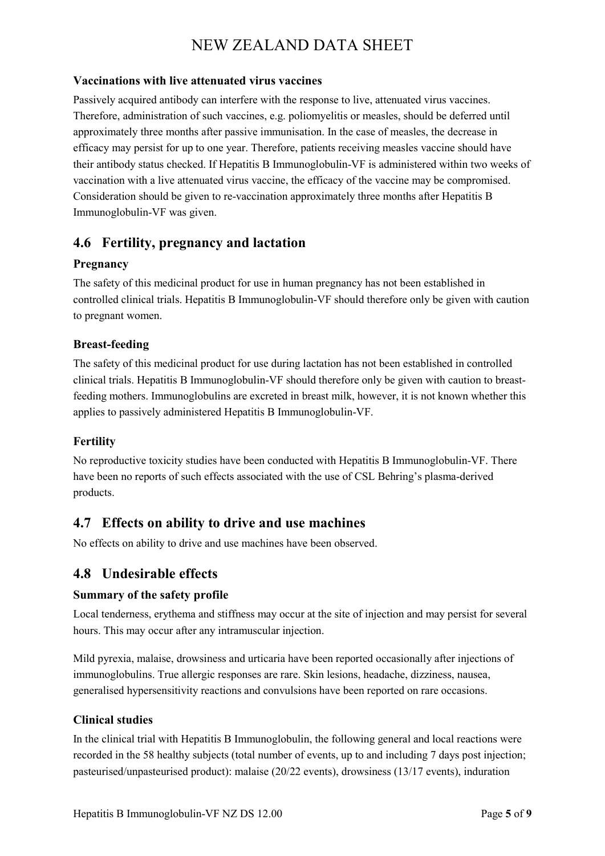#### **Vaccinations with live attenuated virus vaccines**

Passively acquired antibody can interfere with the response to live, attenuated virus vaccines. Therefore, administration of such vaccines, e.g. poliomyelitis or measles, should be deferred until approximately three months after passive immunisation. In the case of measles, the decrease in efficacy may persist for up to one year. Therefore, patients receiving measles vaccine should have their antibody status checked. If Hepatitis B Immunoglobulin-VF is administered within two weeks of vaccination with a live attenuated virus vaccine, the efficacy of the vaccine may be compromised. Consideration should be given to re-vaccination approximately three months after Hepatitis B Immunoglobulin-VF was given.

## **4.6 Fertility, pregnancy and lactation**

### **Pregnancy**

The safety of this medicinal product for use in human pregnancy has not been established in controlled clinical trials. Hepatitis B Immunoglobulin-VF should therefore only be given with caution to pregnant women.

### **Breast-feeding**

The safety of this medicinal product for use during lactation has not been established in controlled clinical trials. Hepatitis B Immunoglobulin-VF should therefore only be given with caution to breastfeeding mothers. Immunoglobulins are excreted in breast milk, however, it is not known whether this applies to passively administered Hepatitis B Immunoglobulin-VF.

#### **Fertility**

No reproductive toxicity studies have been conducted with Hepatitis B Immunoglobulin-VF. There have been no reports of such effects associated with the use of CSL Behring's plasma-derived products.

## **4.7 Effects on ability to drive and use machines**

No effects on ability to drive and use machines have been observed.

## **4.8 Undesirable effects**

#### **Summary of the safety profile**

Local tenderness, erythema and stiffness may occur at the site of injection and may persist for several hours. This may occur after any intramuscular injection.

Mild pyrexia, malaise, drowsiness and urticaria have been reported occasionally after injections of immunoglobulins. True allergic responses are rare. Skin lesions, headache, dizziness, nausea, generalised hypersensitivity reactions and convulsions have been reported on rare occasions.

#### **Clinical studies**

In the clinical trial with Hepatitis B Immunoglobulin, the following general and local reactions were recorded in the 58 healthy subjects (total number of events, up to and including 7 days post injection; pasteurised/unpasteurised product): malaise (20/22 events), drowsiness (13/17 events), induration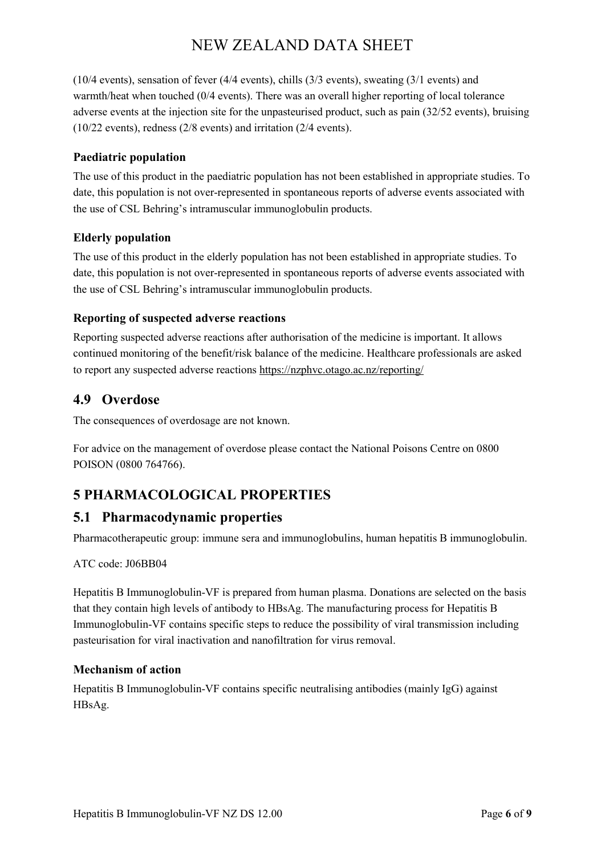(10/4 events), sensation of fever (4/4 events), chills (3/3 events), sweating (3/1 events) and warmth/heat when touched (0/4 events). There was an overall higher reporting of local tolerance adverse events at the injection site for the unpasteurised product, such as pain (32/52 events), bruising (10/22 events), redness (2/8 events) and irritation (2/4 events).

#### **Paediatric population**

The use of this product in the paediatric population has not been established in appropriate studies. To date, this population is not over-represented in spontaneous reports of adverse events associated with the use of CSL Behring's intramuscular immunoglobulin products.

### **Elderly population**

The use of this product in the elderly population has not been established in appropriate studies. To date, this population is not over-represented in spontaneous reports of adverse events associated with the use of CSL Behring's intramuscular immunoglobulin products.

### **Reporting of suspected adverse reactions**

Reporting suspected adverse reactions after authorisation of the medicine is important. It allows continued monitoring of the benefit/risk balance of the medicine. Healthcare professionals are asked to report any suspected adverse reactions https://nzphvc.otago.ac.nz/reporting/

# **4.9 Overdose**

The consequences of overdosage are not known.

For advice on the management of overdose please contact the National Poisons Centre on 0800 POISON (0800 764766).

# **5 PHARMACOLOGICAL PROPERTIES**

## **5.1 Pharmacodynamic properties**

Pharmacotherapeutic group: immune sera and immunoglobulins, human hepatitis B immunoglobulin.

#### ATC code: J06BB04

Hepatitis B Immunoglobulin-VF is prepared from human plasma. Donations are selected on the basis that they contain high levels of antibody to HBsAg. The manufacturing process for Hepatitis B Immunoglobulin-VF contains specific steps to reduce the possibility of viral transmission including pasteurisation for viral inactivation and nanofiltration for virus removal.

#### **Mechanism of action**

Hepatitis B Immunoglobulin-VF contains specific neutralising antibodies (mainly IgG) against HBsAg.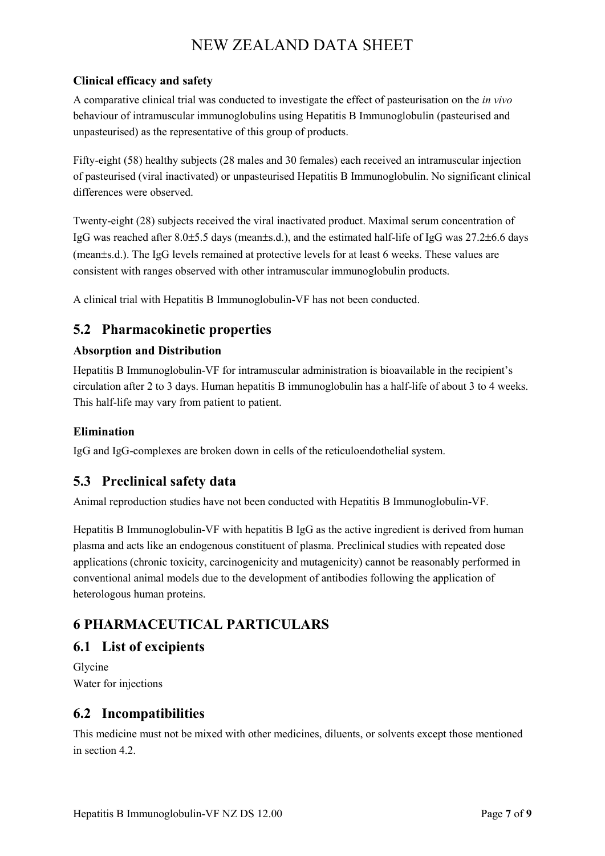### **Clinical efficacy and safety**

A comparative clinical trial was conducted to investigate the effect of pasteurisation on the *in vivo* behaviour of intramuscular immunoglobulins using Hepatitis B Immunoglobulin (pasteurised and unpasteurised) as the representative of this group of products.

Fifty-eight (58) healthy subjects (28 males and 30 females) each received an intramuscular injection of pasteurised (viral inactivated) or unpasteurised Hepatitis B Immunoglobulin. No significant clinical differences were observed.

Twenty-eight (28) subjects received the viral inactivated product. Maximal serum concentration of IgG was reached after 8.0±5.5 days (mean±s.d.), and the estimated half-life of IgG was 27.2±6.6 days (mean±s.d.). The IgG levels remained at protective levels for at least 6 weeks. These values are consistent with ranges observed with other intramuscular immunoglobulin products.

A clinical trial with Hepatitis B Immunoglobulin-VF has not been conducted.

# **5.2 Pharmacokinetic properties**

### **Absorption and Distribution**

Hepatitis B Immunoglobulin-VF for intramuscular administration is bioavailable in the recipient's circulation after 2 to 3 days. Human hepatitis B immunoglobulin has a half-life of about 3 to 4 weeks. This half-life may vary from patient to patient.

### **Elimination**

IgG and IgG-complexes are broken down in cells of the reticuloendothelial system.

# **5.3 Preclinical safety data**

Animal reproduction studies have not been conducted with Hepatitis B Immunoglobulin-VF.

Hepatitis B Immunoglobulin-VF with hepatitis B IgG as the active ingredient is derived from human plasma and acts like an endogenous constituent of plasma. Preclinical studies with repeated dose applications (chronic toxicity, carcinogenicity and mutagenicity) cannot be reasonably performed in conventional animal models due to the development of antibodies following the application of heterologous human proteins.

# **6 PHARMACEUTICAL PARTICULARS**

# **6.1 List of excipients**

Glycine Water for injections

# **6.2 Incompatibilities**

This medicine must not be mixed with other medicines, diluents, or solvents except those mentioned in section 4.2.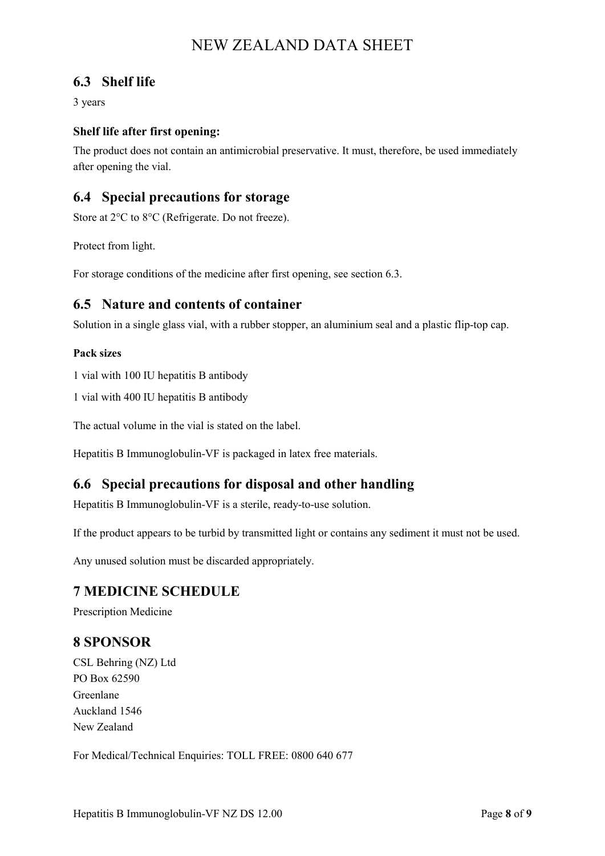## **6.3 Shelf life**

3 years

### **Shelf life after first opening:**

The product does not contain an antimicrobial preservative. It must, therefore, be used immediately after opening the vial.

### **6.4 Special precautions for storage**

Store at 2°C to 8°C (Refrigerate. Do not freeze).

Protect from light.

For storage conditions of the medicine after first opening, see section 6.3.

### **6.5 Nature and contents of container**

Solution in a single glass vial, with a rubber stopper, an aluminium seal and a plastic flip-top cap.

#### **Pack sizes**

1 vial with 100 IU hepatitis B antibody

1 vial with 400 IU hepatitis B antibody

The actual volume in the vial is stated on the label.

Hepatitis B Immunoglobulin-VF is packaged in latex free materials.

## **6.6 Special precautions for disposal and other handling**

Hepatitis B Immunoglobulin-VF is a sterile, ready-to-use solution.

If the product appears to be turbid by transmitted light or contains any sediment it must not be used.

Any unused solution must be discarded appropriately.

## **7 MEDICINE SCHEDULE**

Prescription Medicine

## **8 SPONSOR**

CSL Behring (NZ) Ltd PO Box 62590 Greenlane Auckland 1546 New Zealand

For Medical/Technical Enquiries: TOLL FREE: 0800 640 677